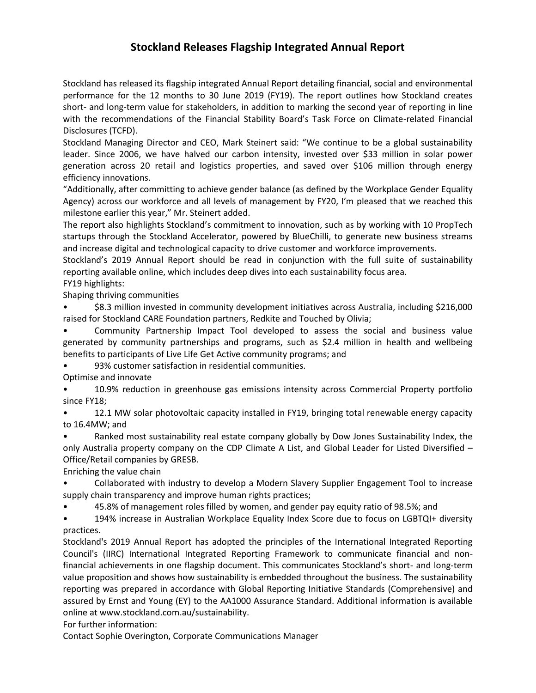## **Stockland Releases Flagship Integrated Annual Report**

Stockland has released its flagship integrated Annual Report detailing financial, social and environmental performance for the 12 months to 30 June 2019 (FY19). The report outlines how Stockland creates short- and long-term value for stakeholders, in addition to marking the second year of reporting in line with the recommendations of the Financial Stability Board's Task Force on Climate-related Financial Disclosures (TCFD).

Stockland Managing Director and CEO, Mark Steinert said: "We continue to be a global sustainability leader. Since 2006, we have halved our carbon intensity, invested over \$33 million in solar power generation across 20 retail and logistics properties, and saved over \$106 million through energy efficiency innovations.

"Additionally, after committing to achieve gender balance (as defined by the Workplace Gender Equality Agency) across our workforce and all levels of management by FY20, I'm pleased that we reached this milestone earlier this year," Mr. Steinert added.

The report also highlights Stockland's commitment to innovation, such as by working with 10 PropTech startups through the Stockland Accelerator, powered by BlueChilli, to generate new business streams and increase digital and technological capacity to drive customer and workforce improvements.

Stockland's 2019 Annual Report should be read in conjunction with the full suite of sustainability reporting available online, which includes deep dives into each sustainability focus area.

FY19 highlights:

Shaping thriving communities

• \$8.3 million invested in community development initiatives across Australia, including \$216,000 raised for Stockland CARE Foundation partners, Redkite and Touched by Olivia;

• Community Partnership Impact Tool developed to assess the social and business value generated by community partnerships and programs, such as \$2.4 million in health and wellbeing benefits to participants of Live Life Get Active community programs; and

• 93% customer satisfaction in residential communities.

Optimise and innovate

• 10.9% reduction in greenhouse gas emissions intensity across Commercial Property portfolio since FY18;

• 12.1 MW solar photovoltaic capacity installed in FY19, bringing total renewable energy capacity to 16.4MW; and

• Ranked most sustainability real estate company globally by Dow Jones Sustainability Index, the only Australia property company on the CDP Climate A List, and Global Leader for Listed Diversified – Office/Retail companies by GRESB.

Enriching the value chain

• Collaborated with industry to develop a Modern Slavery Supplier Engagement Tool to increase supply chain transparency and improve human rights practices;

• 45.8% of management roles filled by women, and gender pay equity ratio of 98.5%; and

• 194% increase in Australian Workplace Equality Index Score due to focus on LGBTQI+ diversity practices.

Stockland's 2019 Annual Report has adopted the principles of the International Integrated Reporting Council's (IIRC) International Integrated Reporting Framework to communicate financial and nonfinancial achievements in one flagship document. This communicates Stockland's short- and long-term value proposition and shows how sustainability is embedded throughout the business. The sustainability reporting was prepared in accordance with Global Reporting Initiative Standards (Comprehensive) and assured by Ernst and Young (EY) to the AA1000 Assurance Standard. Additional information is available online at www.stockland.com.au/sustainability.

For further information:

Contact Sophie Overington, Corporate Communications Manager